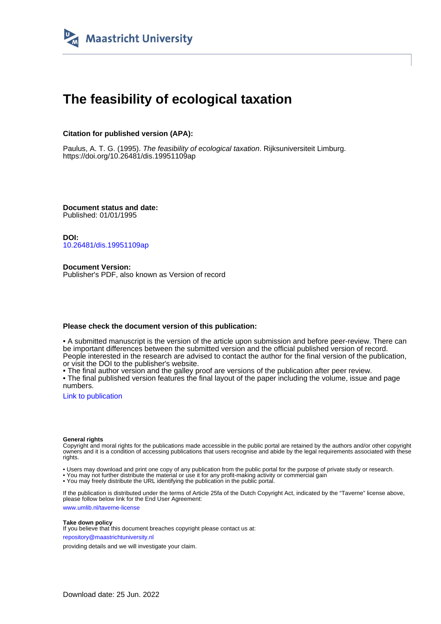

# **The feasibility of ecological taxation**

## **Citation for published version (APA):**

Paulus, A. T. G. (1995). The feasibility of ecological taxation. Rijksuniversiteit Limburg. <https://doi.org/10.26481/dis.19951109ap>

**Document status and date:** Published: 01/01/1995

**DOI:** [10.26481/dis.19951109ap](https://doi.org/10.26481/dis.19951109ap)

**Document Version:** Publisher's PDF, also known as Version of record

### **Please check the document version of this publication:**

• A submitted manuscript is the version of the article upon submission and before peer-review. There can be important differences between the submitted version and the official published version of record. People interested in the research are advised to contact the author for the final version of the publication, or visit the DOI to the publisher's website.

• The final author version and the galley proof are versions of the publication after peer review.

• The final published version features the final layout of the paper including the volume, issue and page numbers.

[Link to publication](https://cris.maastrichtuniversity.nl/en/publications/bf46207e-7dfe-4377-ac1b-8594352eb5fc)

#### **General rights**

Copyright and moral rights for the publications made accessible in the public portal are retained by the authors and/or other copyright owners and it is a condition of accessing publications that users recognise and abide by the legal requirements associated with these rights.

• Users may download and print one copy of any publication from the public portal for the purpose of private study or research.

• You may not further distribute the material or use it for any profit-making activity or commercial gain

• You may freely distribute the URL identifying the publication in the public portal.

If the publication is distributed under the terms of Article 25fa of the Dutch Copyright Act, indicated by the "Taverne" license above, please follow below link for the End User Agreement:

www.umlib.nl/taverne-license

#### **Take down policy**

If you believe that this document breaches copyright please contact us at: repository@maastrichtuniversity.nl

providing details and we will investigate your claim.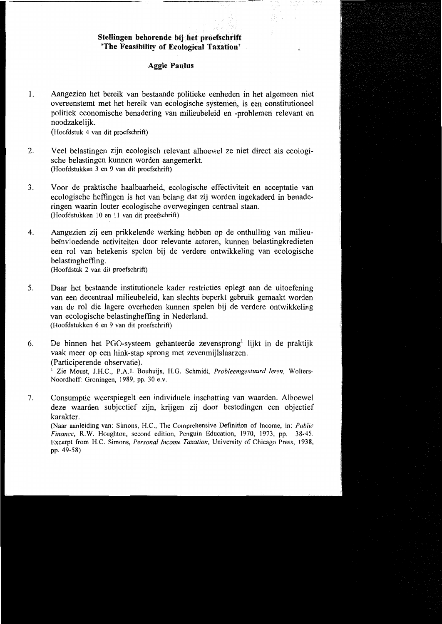## Stellingen behorende bij het proefschrift 'The Feasibility of Ecological Taxation'

## **Aggie Paulus**

 $\mathbf{1}$ . Aangezien het bereik van bestaande politieke eenheden in het algemeen niet overeenstemt met het bereik van ecologische systemen, is een constitutioneel politiek economische benadering van milieubeleid en -problemen relevant en noodzakeliik.

(Hoofdstuk 4 van dit proefschrift)

- $\overline{2}$ . Veel belastingen zijn ecologisch relevant alhoewel ze niet direct als ecologische belastingen kunnen worden aangemerkt. (Hoofdstukken 3 en 9 van dit proefschrift)
- 3. Voor de praktische haalbaarheid, ecologische effectiviteit en acceptatie van ecologische heffingen is het van belang dat zij worden ingekaderd in benaderingen waarin louter ecologische overwegingen centraal staan. (Hoofdstukken 10 en 11 van dit proefschrift)
- Aangezien zij een prikkelende werking hebben op de onthulling van milieu-4. beïnvloedende activiteiten door relevante actoren, kunnen belastingkredieten een rol van betekenis spelen bij de verdere ontwikkeling van ecologische belastingheffing. (Hoofdstuk 2 van dit proefschrift)
- 5. Daar het bestaande institutionele kader restricties oplegt aan de uitoefening van een decentraal milieubeleid, kan slechts beperkt gebruik gemaakt worden van de rol die lagere overheden kunnen spelen bij de verdere ontwikkeling van ecologische belastingheffing in Nederland. (Hoofdstukken 6 en 9 van dit proefschrift)
- 6. De binnen het PGO-systeem gehanteerde zevensprong<sup>1</sup> lijkt in de praktijk vaak meer op een hink-stap sprong met zevenmijlslaarzen. (Participerende observatie).

<sup>1</sup> Zie Moust, J.H.C., P.A.J. Bouhuijs, H.G. Schmidt, Probleemgestuurd leren, Wolters-Noordhoff: Groningen, 1989, pp. 30 e.v.

7. Consumptie weerspiegelt een individuele inschatting van waarden. Alhoewel deze waarden subjectief zijn, krijgen zij door bestedingen een objectief karakter.

(Naar aanleiding van: Simons, H.C., The Comprehensive Definition of Income, in: Public Finance, R.W. Houghton, second edition, Penguin Education, 1970, 1973, pp. 38-45. Excerpt from H.C. Simons, Personal Income Taxation, University of Chicago Press, 1938, pp. 49-58)